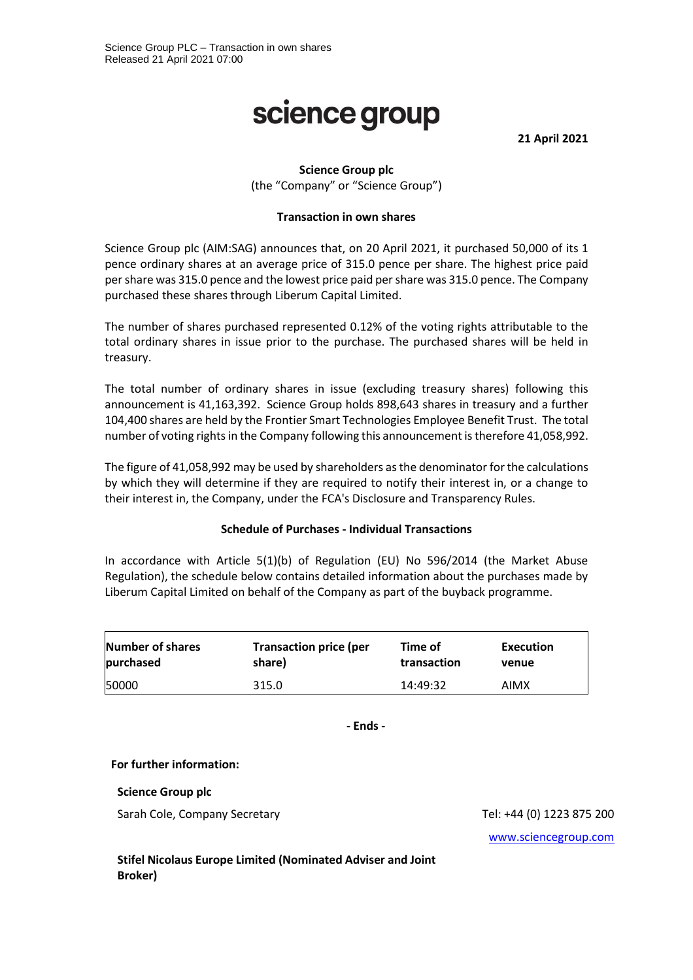# science group

**21 April 2021**

## **Science Group plc**

(the "Company" or "Science Group")

#### **Transaction in own shares**

Science Group plc (AIM:SAG) announces that, on 20 April 2021, it purchased 50,000 of its 1 pence ordinary shares at an average price of 315.0 pence per share. The highest price paid per share was 315.0 pence and the lowest price paid per share was 315.0 pence. The Company purchased these shares through Liberum Capital Limited.

The number of shares purchased represented 0.12% of the voting rights attributable to the total ordinary shares in issue prior to the purchase. The purchased shares will be held in treasury.

The total number of ordinary shares in issue (excluding treasury shares) following this announcement is 41,163,392. Science Group holds 898,643 shares in treasury and a further 104,400 shares are held by the Frontier Smart Technologies Employee Benefit Trust. The total number of voting rights in the Company following this announcement is therefore 41,058,992.

The figure of 41,058,992 may be used by shareholders as the denominator for the calculations by which they will determine if they are required to notify their interest in, or a change to their interest in, the Company, under the FCA's Disclosure and Transparency Rules.

#### **Schedule of Purchases - Individual Transactions**

In accordance with Article 5(1)(b) of Regulation (EU) No 596/2014 (the Market Abuse Regulation), the schedule below contains detailed information about the purchases made by Liberum Capital Limited on behalf of the Company as part of the buyback programme.

| <b>Number of shares</b> | <b>Transaction price (per</b> | Time of     | Execution |
|-------------------------|-------------------------------|-------------|-----------|
| purchased               | share)                        | transaction | venue     |
| 50000                   | 315.0                         | 14:49:32    | AIMX      |

**- Ends -**

#### **For further information:**

**Science Group plc**

Sarah Cole, Company Secretary Tel: +44 (0) 1223 875 200

[www.sciencegroup.com](http://www.sciencegroup.com/)

**Stifel Nicolaus Europe Limited (Nominated Adviser and Joint Broker)**